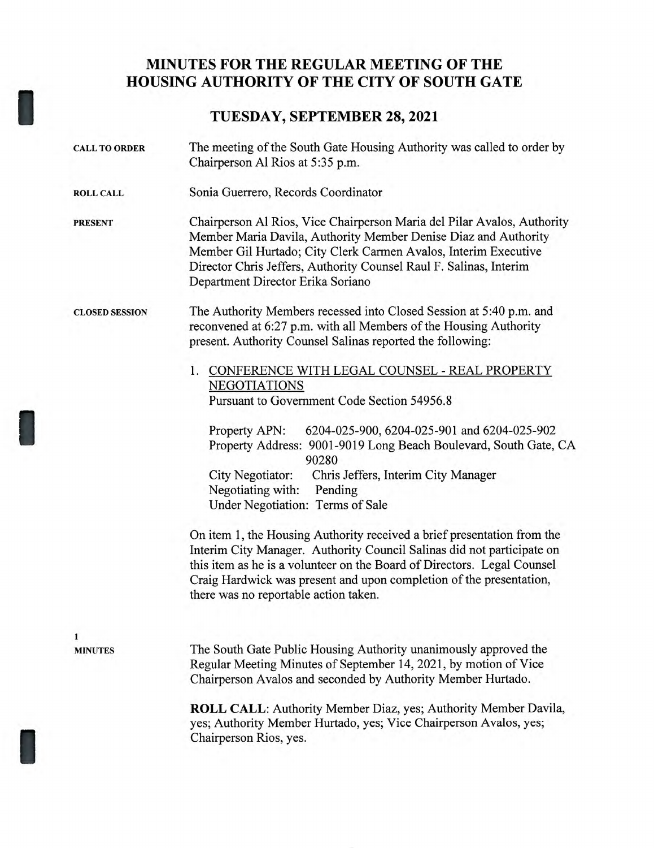## **MINUTES FOR THE REGULAR MEETING OF THE HOUSING AUTHORITY OF THE CITY OF SOUTH GATE**

## **TUESDAY, SEPTEMBER 28, 2021**

| <b>CALL TO ORDER</b>  | The meeting of the South Gate Housing Authority was called to order by<br>Chairperson Al Rios at 5:35 p.m.                                                                                                                                                                                                                                   |
|-----------------------|----------------------------------------------------------------------------------------------------------------------------------------------------------------------------------------------------------------------------------------------------------------------------------------------------------------------------------------------|
| <b>ROLL CALL</b>      | Sonia Guerrero, Records Coordinator                                                                                                                                                                                                                                                                                                          |
| <b>PRESENT</b>        | Chairperson Al Rios, Vice Chairperson Maria del Pilar Avalos, Authority<br>Member Maria Davila, Authority Member Denise Diaz and Authority<br>Member Gil Hurtado; City Clerk Carmen Avalos, Interim Executive<br>Director Chris Jeffers, Authority Counsel Raul F. Salinas, Interim<br>Department Director Erika Soriano                     |
| <b>CLOSED SESSION</b> | The Authority Members recessed into Closed Session at 5:40 p.m. and<br>reconvened at 6:27 p.m. with all Members of the Housing Authority<br>present. Authority Counsel Salinas reported the following:                                                                                                                                       |
|                       | 1. CONFERENCE WITH LEGAL COUNSEL - REAL PROPERTY<br><b>NEGOTIATIONS</b>                                                                                                                                                                                                                                                                      |
|                       | Pursuant to Government Code Section 54956.8                                                                                                                                                                                                                                                                                                  |
|                       | 6204-025-900, 6204-025-901 and 6204-025-902<br>Property APN:<br>Property Address: 9001-9019 Long Beach Boulevard, South Gate, CA<br>90280                                                                                                                                                                                                    |
|                       | City Negotiator:<br>Chris Jeffers, Interim City Manager                                                                                                                                                                                                                                                                                      |
|                       | Negotiating with:<br>Pending<br>Under Negotiation: Terms of Sale                                                                                                                                                                                                                                                                             |
|                       | On item 1, the Housing Authority received a brief presentation from the<br>Interim City Manager. Authority Council Salinas did not participate on<br>this item as he is a volunteer on the Board of Directors. Legal Counsel<br>Craig Hardwick was present and upon completion of the presentation,<br>there was no reportable action taken. |
| 1                     |                                                                                                                                                                                                                                                                                                                                              |
| <b>MINUTES</b>        | The South Gate Public Housing Authority unanimously approved the<br>Regular Meeting Minutes of September 14, 2021, by motion of Vice<br>Chairperson Avalos and seconded by Authority Member Hurtado.                                                                                                                                         |
|                       | <b>ROLL CALL:</b> Authority Member Diaz, yes; Authority Member Davila,<br>yes; Authority Member Hurtado, yes; Vice Chairperson Avalos, yes;<br>Chairperson Rios, yes.                                                                                                                                                                        |
|                       |                                                                                                                                                                                                                                                                                                                                              |

I